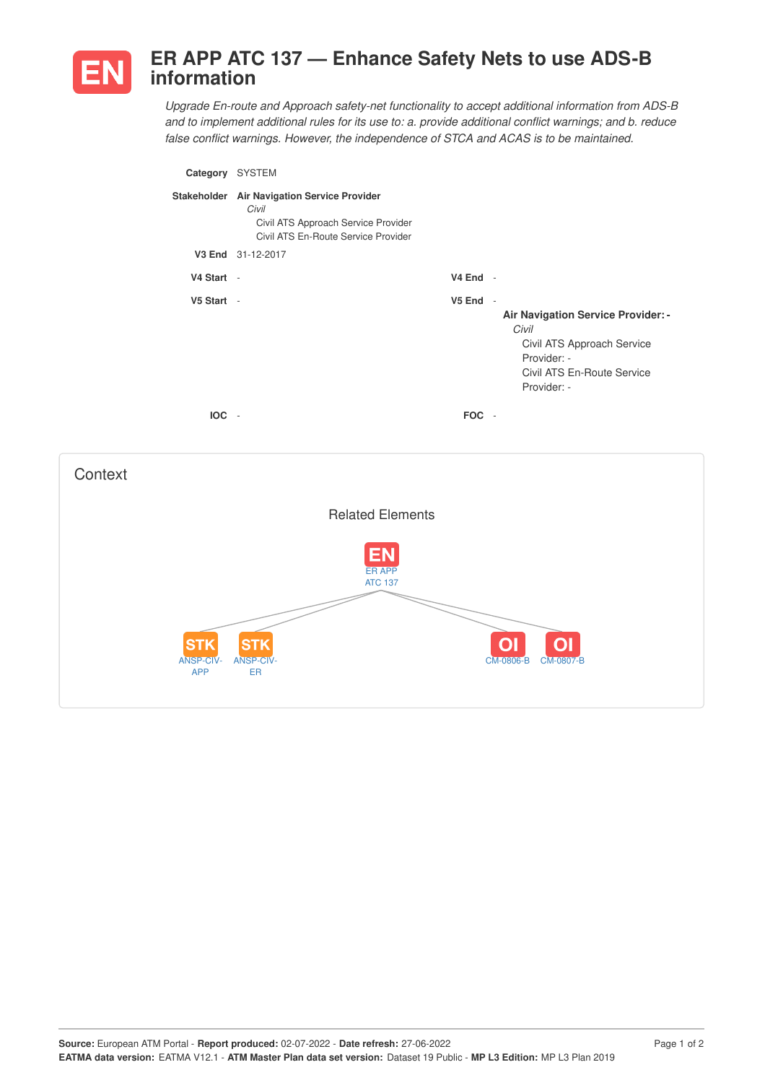

## **ER APP ATC 137 — Enhance Safety Nets to use ADS-B information**

*Upgrade En-route and Approach safety-net functionality to accept additional information from ADS-B and to implement additional rules for its use to: a. provide additional conflict warnings; and b. reduce false conflict warnings. However, the independence of STCA and ACAS is to be maintained.*

| Category   | <b>SYSTEM</b>                                                                                                                      |                                        |                                                                                                                                              |
|------------|------------------------------------------------------------------------------------------------------------------------------------|----------------------------------------|----------------------------------------------------------------------------------------------------------------------------------------------|
|            | Stakeholder Air Navigation Service Provider<br>Civil<br>Civil ATS Approach Service Provider<br>Civil ATS En-Route Service Provider |                                        |                                                                                                                                              |
|            | V3 End 31-12-2017                                                                                                                  |                                        |                                                                                                                                              |
| V4 Start - |                                                                                                                                    | $V4$ End -                             |                                                                                                                                              |
| V5 Start - |                                                                                                                                    | $V5$ End $-$                           | <b>Air Navigation Service Provider: -</b><br>Civil<br>Civil ATS Approach Service<br>Provider: -<br>Civil ATS En-Route Service<br>Provider: - |
| <b>IOC</b> | $\overline{\phantom{a}}$                                                                                                           | <b>FOC</b><br>$\overline{\phantom{a}}$ |                                                                                                                                              |